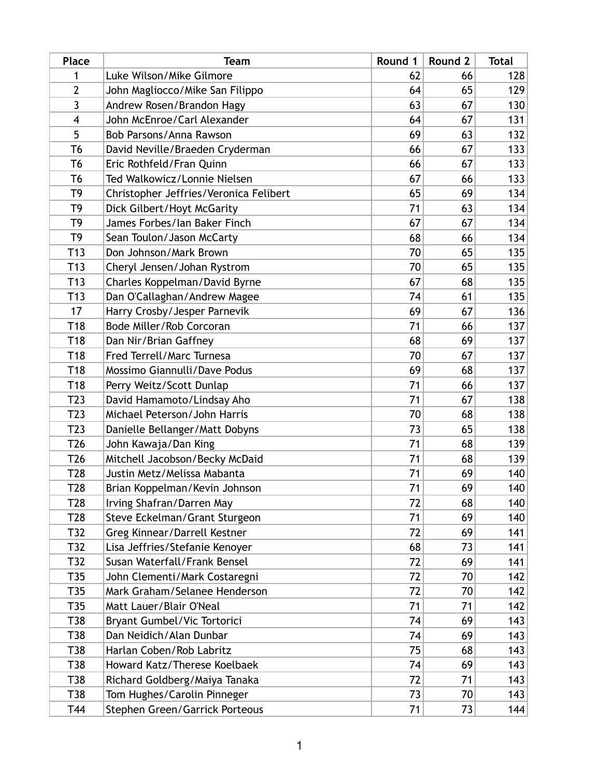| <b>Place</b>     | <b>Team</b>                            | Round 1 | Round 2 | <b>Total</b> |
|------------------|----------------------------------------|---------|---------|--------------|
| 1                | Luke Wilson/Mike Gilmore               | 62      | 66      | 128          |
| $\overline{2}$   | John Magliocco/Mike San Filippo        | 64      | 65      | 129          |
| 3                | Andrew Rosen/Brandon Hagy              | 63      | 67      | 130          |
| $\overline{4}$   | John McEnroe/Carl Alexander            | 64      | 67      | 131          |
| 5                | Bob Parsons/Anna Rawson                | 69      | 63      | 132          |
| T6               | David Neville/Braeden Cryderman        | 66      | 67      | 133          |
| T6               | Eric Rothfeld/Fran Quinn               | 66      | 67      | 133          |
| T6               | Ted Walkowicz/Lonnie Nielsen           | 67      | 66      | 133          |
| T9               | Christopher Jeffries/Veronica Felibert | 65      | 69      | 134          |
| T <sub>9</sub>   | Dick Gilbert/Hoyt McGarity             | 71      | 63      | 134          |
| T9               | James Forbes/Ian Baker Finch           | 67      | 67      | 134          |
| T <sub>9</sub>   | Sean Toulon/Jason McCarty              | 68      | 66      | 134          |
| T <sub>13</sub>  | Don Johnson/Mark Brown                 | 70      | 65      | 135          |
| T13              | Cheryl Jensen/Johan Rystrom            | 70      | 65      | 135          |
| T <sub>13</sub>  | Charles Koppelman/David Byrne          | 67      | 68      | 135          |
| T <sub>13</sub>  | Dan O'Callaghan/Andrew Magee           | 74      | 61      | 135          |
| 17               | Harry Crosby/Jesper Parnevik           | 69      | 67      | 136          |
| T18              | Bode Miller/Rob Corcoran               | 71      | 66      | 137          |
| T <sub>18</sub>  | Dan Nir/Brian Gaffney                  | 68      | 69      | 137          |
| T <sub>18</sub>  | Fred Terrell/Marc Turnesa              | 70      | 67      | 137          |
| T18              | Mossimo Giannulli/Dave Podus           | 69      | 68      | 137          |
| T <sub>18</sub>  | Perry Weitz/Scott Dunlap               | 71      | 66      | 137          |
| T <sub>2</sub> 3 | David Hamamoto/Lindsay Aho             | 71      | 67      | 138          |
| T <sub>2</sub> 3 | Michael Peterson/John Harris           | 70      | 68      | 138          |
| T <sub>2</sub> 3 | Danielle Bellanger/Matt Dobyns         | 73      | 65      | 138          |
| T <sub>26</sub>  | John Kawaja/Dan King                   | 71      | 68      | 139          |
| T <sub>26</sub>  | Mitchell Jacobson/Becky McDaid         | 71      | 68      | 139          |
| T <sub>28</sub>  | Justin Metz/Melissa Mabanta            | 71      | 69      | 140          |
| T <sub>28</sub>  | Brian Koppelman/Kevin Johnson          | 71      | 69      | 140          |
| T <sub>28</sub>  | Irving Shafran/Darren May              | 72      | 68      | 140          |
| T <sub>2</sub> 8 | Steve Eckelman/Grant Sturgeon          | 71      | 69      | 140          |
| T32              | Greg Kinnear/Darrell Kestner           | 72      | 69      | 141          |
| T32              | Lisa Jeffries/Stefanie Kenoyer         | 68      | 73      | 141          |
| T32              | Susan Waterfall/Frank Bensel           | 72      | 69      | 141          |
| T35              | John Clementi/Mark Costaregni          | 72      | 70      | 142          |
| T35              | Mark Graham/Selanee Henderson          | 72      | 70      | 142          |
| T35              | Matt Lauer/Blair O'Neal                | 71      | 71      | 142          |
| T38              | Bryant Gumbel/Vic Tortorici            | 74      | 69      | 143          |
| T38              | Dan Neidich/Alan Dunbar                | 74      | 69      | 143          |
| T38              | Harlan Coben/Rob Labritz               | 75      | 68      | 143          |
| T38              | Howard Katz/Therese Koelbaek           | 74      | 69      | 143          |
| T38              | Richard Goldberg/Maiya Tanaka          | 72      | 71      | 143          |
| T38              | Tom Hughes/Carolin Pinneger            | 73      | 70      | 143          |
| T44              | Stephen Green/Garrick Porteous         | 71      | 73      | 144          |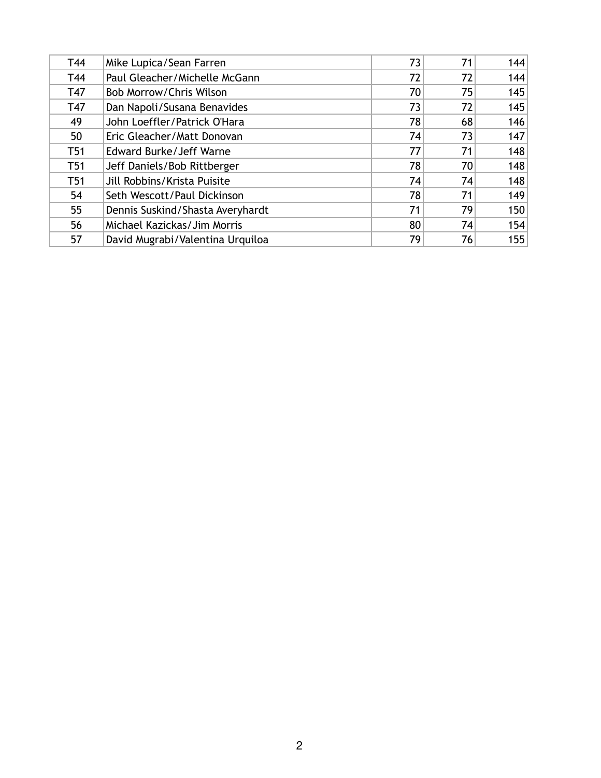| T44             | Mike Lupica/Sean Farren          | 73 | 71 | 144 |
|-----------------|----------------------------------|----|----|-----|
| T44             | Paul Gleacher/Michelle McGann    | 72 | 72 | 144 |
| T47             | Bob Morrow/Chris Wilson          | 70 | 75 | 145 |
| T47             | Dan Napoli/Susana Benavides      | 73 | 72 | 145 |
| 49              | John Loeffler/Patrick O'Hara     | 78 | 68 | 146 |
| 50              | Eric Gleacher/Matt Donovan       | 74 | 73 | 147 |
| T <sub>51</sub> | Edward Burke/Jeff Warne          | 77 | 71 | 148 |
| T <sub>51</sub> | Jeff Daniels/Bob Rittberger      | 78 | 70 | 148 |
| T <sub>51</sub> | Jill Robbins/Krista Puisite      | 74 | 74 | 148 |
| 54              | Seth Wescott/Paul Dickinson      | 78 | 71 | 149 |
| 55              | Dennis Suskind/Shasta Averyhardt | 71 | 79 | 150 |
| 56              | Michael Kazickas/Jim Morris      | 80 | 74 | 154 |
| 57              | David Mugrabi/Valentina Urquiloa | 79 | 76 | 155 |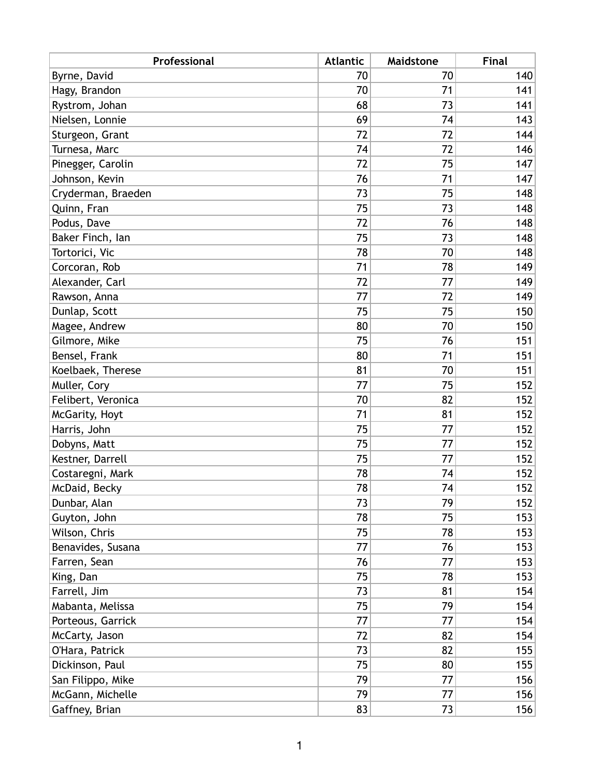| Professional       | <b>Atlantic</b> | Maidstone | <b>Final</b> |
|--------------------|-----------------|-----------|--------------|
| Byrne, David       | 70              | 70        | 140          |
| Hagy, Brandon      | 70              | 71        | 141          |
| Rystrom, Johan     | 68              | 73        | 141          |
| Nielsen, Lonnie    | 69              | 74        | 143          |
| Sturgeon, Grant    | 72              | 72        | 144          |
| Turnesa, Marc      | 74              | 72        | 146          |
| Pinegger, Carolin  | 72              | 75        | 147          |
| Johnson, Kevin     | 76              | 71        | 147          |
| Cryderman, Braeden | 73              | 75        | 148          |
| Quinn, Fran        | 75              | 73        | 148          |
| Podus, Dave        | 72              | 76        | 148          |
| Baker Finch, lan   | 75              | 73        | 148          |
| Tortorici, Vic     | 78              | 70        | 148          |
| Corcoran, Rob      | 71              | 78        | 149          |
| Alexander, Carl    | 72              | 77        | 149          |
| Rawson, Anna       | 77              | 72        | 149          |
| Dunlap, Scott      | 75              | 75        | 150          |
| Magee, Andrew      | 80              | 70        | 150          |
| Gilmore, Mike      | 75              | 76        | 151          |
| Bensel, Frank      | 80              | 71        | 151          |
| Koelbaek, Therese  | 81              | 70        | 151          |
| Muller, Cory       | 77              | 75        | 152          |
| Felibert, Veronica | 70              | 82        | 152          |
| McGarity, Hoyt     | 71              | 81        | 152          |
| Harris, John       | 75              | 77        | 152          |
| Dobyns, Matt       | 75              | 77        | 152          |
| Kestner, Darrell   | 75              | 77        | 152          |
| Costaregni, Mark   | 78              | 74        | 152          |
| McDaid, Becky      | 78              | 74        | 152          |
| Dunbar, Alan       | 73              | 79        | 152          |
| Guyton, John       | 78              | 75        | 153          |
| Wilson, Chris      | 75              | 78        | 153          |
| Benavides, Susana  | 77              | 76        | 153          |
| Farren, Sean       | 76              | 77        | 153          |
| King, Dan          | 75              | 78        | 153          |
| Farrell, Jim       | 73              | 81        | 154          |
| Mabanta, Melissa   | 75              | 79        | 154          |
| Porteous, Garrick  | 77              | 77        | 154          |
| McCarty, Jason     | 72              | 82        | 154          |
| O'Hara, Patrick    | 73              | 82        | 155          |
| Dickinson, Paul    | 75              | 80        | 155          |
| San Filippo, Mike  | 79              | 77        | 156          |
| McGann, Michelle   | 79              | 77        | 156          |
| Gaffney, Brian     | 83              | 73        | 156          |